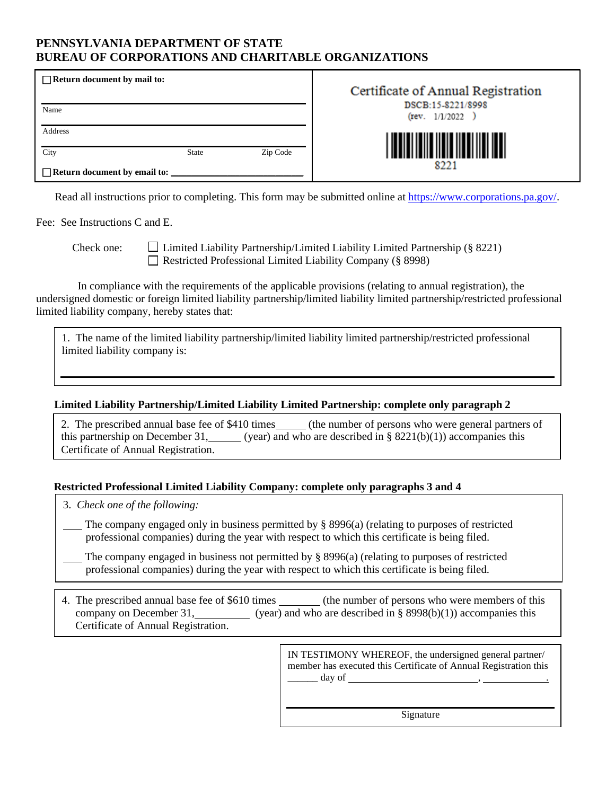### **PENNSYLVANIA DEPARTMENT OF STATE BUREAU OF CORPORATIONS AND CHARITABLE ORGANIZATIONS**

| $\Box$ Return document by mail to: |              |          | Certificate of Annual Registration<br>DSCB:15-8221/8998 |  |  |
|------------------------------------|--------------|----------|---------------------------------------------------------|--|--|
| Name                               |              |          | (rev. 1/1/2022)                                         |  |  |
| Address                            |              |          |                                                         |  |  |
| City                               | <b>State</b> | Zip Code | 8221                                                    |  |  |
| □ Return document by email to:     |              |          |                                                         |  |  |

Read all instructions prior to completing. This form may be submitted online at [https://www.corporations.pa.gov/.](https://www.corporations.pa.gov/)

Fee: See Instructions C and E.

Check one:  $\Box$  Limited Liability Partnership/Limited Liability Limited Partnership (§ 8221) Restricted Professional Limited Liability Company (§ 8998)

 In compliance with the requirements of the applicable provisions (relating to annual registration), the undersigned domestic or foreign limited liability partnership/limited liability limited partnership/restricted professional limited liability company, hereby states that:

1. The name of the limited liability partnership/limited liability limited partnership/restricted professional limited liability company is:

### **Limited Liability Partnership/Limited Liability Limited Partnership: complete only paragraph 2**

2. The prescribed annual base fee of \$410 times (the number of persons who were general partners of this partnership on December 31, (year) and who are described in §  $8221(b)(1)$ ) accompanies this Certificate of Annual Registration.

### **Restricted Professional Limited Liability Company: complete only paragraphs 3 and 4**

3. *Check one of the following:*

 The company engaged only in business permitted by § 8996(a) (relating to purposes of restricted professional companies) during the year with respect to which this certificate is being filed.

The company engaged in business not permitted by  $\S$  8996(a) (relating to purposes of restricted professional companies) during the year with respect to which this certificate is being filed.

4. The prescribed annual base fee of \$610 times (the number of persons who were members of this company on December 31, (year) and who are described in § 8998(b)(1)) accompanies this Certificate of Annual Registration.

> IN TESTIMONY WHEREOF, the undersigned general partner/ member has executed this Certificate of Annual Registration this  $\frac{1}{\sqrt{2}}$  day of  $\frac{1}{\sqrt{2}}$ , ...

> > Signature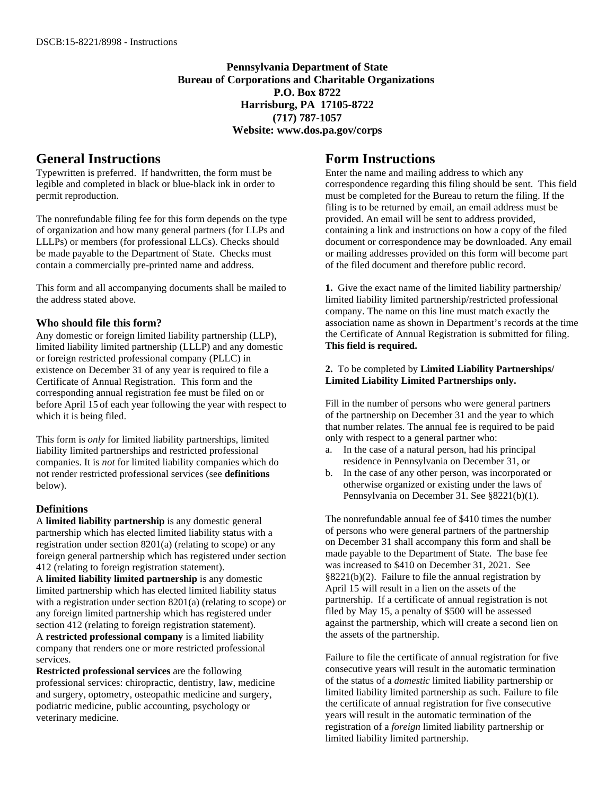**Pennsylvania Department of State Bureau of Corporations and Charitable Organizations P.O. Box 8722 Harrisburg, PA 17105-8722 (717) 787-1057 Website: www.dos.pa.gov/corps**

# **General Instructions**

Typewritten is preferred. If handwritten, the form must be legible and completed in black or blue-black ink in order to permit reproduction.

The nonrefundable filing fee for this form depends on the type of organization and how many general partners (for LLPs and LLLPs) or members (for professional LLCs). Checks should be made payable to the Department of State. Checks must contain a commercially pre-printed name and address.

This form and all accompanying documents shall be mailed to the address stated above.

### **Who should file this form?**

Any domestic or foreign limited liability partnership (LLP), limited liability limited partnership (LLLP) and any domestic or foreign restricted professional company (PLLC) in existence on December 31 of any year is required to file a Certificate of Annual Registration. This form and the corresponding annual registration fee must be filed on or before April 15 of each year following the year with respect to which it is being filed.

This form is *only* for limited liability partnerships, limited liability limited partnerships and restricted professional companies. It is *not* for limited liability companies which do not render restricted professional services (see **definitions** below).

### **Definitions**

A **limited liability partnership** is any domestic general partnership which has elected limited liability status with a registration under section 8201(a) (relating to scope) or any foreign general partnership which has registered under section 412 (relating to foreign registration statement).

A **limited liability limited partnership** is any domestic limited partnership which has elected limited liability status with a registration under section 8201(a) (relating to scope) or any foreign limited partnership which has registered under section 412 (relating to foreign registration statement). A **restricted professional company** is a limited liability company that renders one or more restricted professional services.

**Restricted professional services** are the following professional services: chiropractic, dentistry, law, medicine and surgery, optometry, osteopathic medicine and surgery, podiatric medicine, public accounting, psychology or veterinary medicine.

## **Form Instructions**

Enter the name and mailing address to which any correspondence regarding this filing should be sent. This field must be completed for the Bureau to return the filing. If the filing is to be returned by email, an email address must be provided. An email will be sent to address provided, containing a link and instructions on how a copy of the filed document or correspondence may be downloaded. Any email or mailing addresses provided on this form will become part of the filed document and therefore public record.

**1.** Give the exact name of the limited liability partnership/ limited liability limited partnership/restricted professional company. The name on this line must match exactly the association name as shown in Department's records at the time the Certificate of Annual Registration is submitted for filing. **This field is required.**

### **2.** To be completed by **Limited Liability Partnerships/ Limited Liability Limited Partnerships only.**

Fill in the number of persons who were general partners of the partnership on December 31 and the year to which that number relates. The annual fee is required to be paid only with respect to a general partner who:

- a. In the case of a natural person, had his principal residence in Pennsylvania on December 31, or
- b. In the case of any other person, was incorporated or otherwise organized or existing under the laws of Pennsylvania on December 31. See §8221(b)(1).

The nonrefundable annual fee of \$410 times the number of persons who were general partners of the partnership on December 31 shall accompany this form and shall be made payable to the Department of State. The base fee was increased to \$410 on December 31, 2021. See §8221(b)(2). Failure to file the annual registration by April 15 will result in a lien on the assets of the partnership. If a certificate of annual registration is not filed by May 15, a penalty of \$500 will be assessed against the partnership, which will create a second lien on the assets of the partnership.

Failure to file the certificate of annual registration for five consecutive years will result in the automatic termination of the status of a *domestic* limited liability partnership or limited liability limited partnership as such. Failure to file the certificate of annual registration for five consecutive years will result in the automatic termination of the registration of a *foreign* limited liability partnership or limited liability limited partnership.